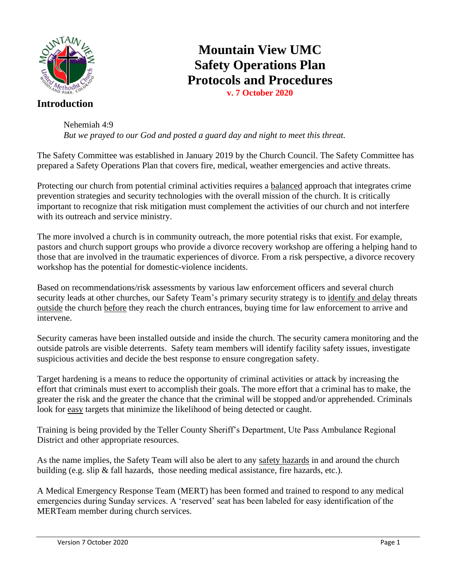

#### **Introduction**

**Mountain View UMC Safety Operations Plan Protocols and Procedures**

**v. 7 October 2020**

Nehemiah 4:9 *But we prayed to our God and posted a guard day and night to meet this threat.*

The Safety Committee was established in January 2019 by the Church Council. The Safety Committee has prepared a Safety Operations Plan that covers fire, medical, weather emergencies and active threats.

Protecting our church from potential criminal activities requires a balanced approach that integrates crime prevention strategies and security technologies with the overall mission of the church. It is critically important to recognize that risk mitigation must complement the activities of our church and not interfere with its outreach and service ministry.

The more involved a church is in community outreach, the more potential risks that exist. For example, pastors and church support groups who provide a divorce recovery workshop are offering a helping hand to those that are involved in the traumatic experiences of divorce. From a risk perspective, a divorce recovery workshop has the potential for domestic-violence incidents.

Based on recommendations/risk assessments by various law enforcement officers and several church security leads at other churches, our Safety Team's primary security strategy is to identify and delay threats outside the church before they reach the church entrances, buying time for law enforcement to arrive and intervene.

Security cameras have been installed outside and inside the church. The security camera monitoring and the outside patrols are visible deterrents. Safety team members will identify facility safety issues, investigate suspicious activities and decide the best response to ensure congregation safety.

Target hardening is a means to reduce the opportunity of criminal activities or attack by increasing the effort that criminals must exert to accomplish their goals. The more effort that a criminal has to make, the greater the risk and the greater the chance that the criminal will be stopped and/or apprehended. Criminals look for easy targets that minimize the likelihood of being detected or caught.

Training is being provided by the Teller County Sheriff's Department, Ute Pass Ambulance Regional District and other appropriate resources.

As the name implies, the Safety Team will also be alert to any safety hazards in and around the church building (e.g. slip  $\&$  fall hazards, those needing medical assistance, fire hazards, etc.).

A Medical Emergency Response Team (MERT) has been formed and trained to respond to any medical emergencies during Sunday services. A 'reserved' seat has been labeled for easy identification of the MERTeam member during church services.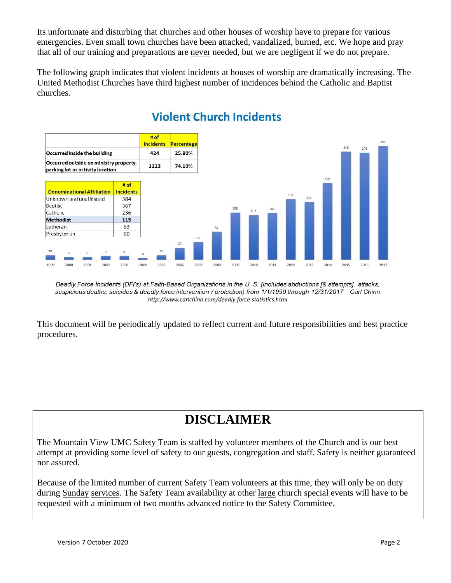Its unfortunate and disturbing that churches and other houses of worship have to prepare for various emergencies. Even small town churches have been attacked, vandalized, burned, etc. We hope and pray that all of our training and preparations are never needed, but we are negligent if we do not prepare.

The following graph indicates that violent incidents at houses of worship are dramatically increasing. The United Methodist Churches have third highest number of incidences behind the Catholic and Baptist churches.



# **Violent Church Incidents**

This document will be periodically updated to reflect current and future responsibilities and best practice procedures.

# **DISCLAIMER**

The Mountain View UMC Safety Team is staffed by volunteer members of the Church and is our best attempt at providing some level of safety to our guests, congregation and staff. Safety is neither guaranteed nor assured.

Because of the limited number of current Safety Team volunteers at this time, they will only be on duty during Sunday services. The Safety Team availability at other large church special events will have to be requested with a minimum of two months advanced notice to the Safety Committee.

Deadly Force Incidents (DFI's) at Faith-Based Organizations in the U.S. (includes abductions [& attempts], attacks, suspicious deaths, suicides & deadly force intervention / protection) from 1/1/1999 through 12/31/2017 - Carl Chinn http://www.carlchinn.com/deadly-force-statistics.html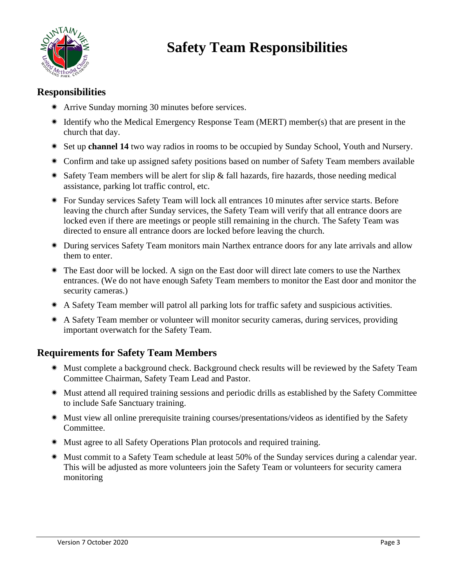

# **Safety Team Responsibilities**

# **Responsibilities**

- Arrive Sunday morning 30 minutes before services.
- Identify who the Medical Emergency Response Team (MERT) member(s) that are present in the church that day.
- Set up **channel 14** two way radios in rooms to be occupied by Sunday School, Youth and Nursery.
- Confirm and take up assigned safety positions based on number of Safety Team members available
- \* Safety Team members will be alert for slip & fall hazards, fire hazards, those needing medical assistance, parking lot traffic control, etc.
- For Sunday services Safety Team will lock all entrances 10 minutes after service starts. Before leaving the church after Sunday services, the Safety Team will verify that all entrance doors are locked even if there are meetings or people still remaining in the church. The Safety Team was directed to ensure all entrance doors are locked before leaving the church.
- During services Safety Team monitors main Narthex entrance doors for any late arrivals and allow them to enter.
- The East door will be locked. A sign on the East door will direct late comers to use the Narthex entrances. (We do not have enough Safety Team members to monitor the East door and monitor the security cameras.)
- A Safety Team member will patrol all parking lots for traffic safety and suspicious activities.
- A Safety Team member or volunteer will monitor security cameras, during services, providing important overwatch for the Safety Team.

#### **Requirements for Safety Team Members**

- Must complete a background check. Background check results will be reviewed by the Safety Team Committee Chairman, Safety Team Lead and Pastor.
- Must attend all required training sessions and periodic drills as established by the Safety Committee to include Safe Sanctuary training.
- Must view all online prerequisite training courses/presentations/videos as identified by the Safety Committee.
- Must agree to all Safety Operations Plan protocols and required training.
- Must commit to a Safety Team schedule at least 50% of the Sunday services during a calendar year. This will be adjusted as more volunteers join the Safety Team or volunteers for security camera monitoring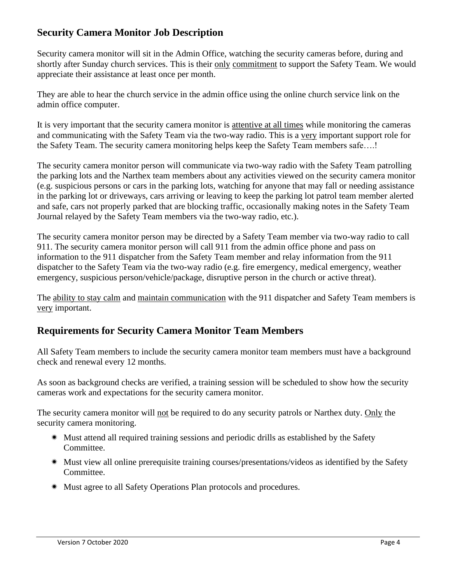# **Security Camera Monitor Job Description**

Security camera monitor will sit in the Admin Office, watching the security cameras before, during and shortly after Sunday church services. This is their only commitment to support the Safety Team. We would appreciate their assistance at least once per month.

They are able to hear the church service in the admin office using the online church service link on the admin office computer.

It is very important that the security camera monitor is attentive at all times while monitoring the cameras and communicating with the Safety Team via the two-way radio. This is a very important support role for the Safety Team. The security camera monitoring helps keep the Safety Team members safe….!

The security camera monitor person will communicate via two-way radio with the Safety Team patrolling the parking lots and the Narthex team members about any activities viewed on the security camera monitor (e.g. suspicious persons or cars in the parking lots, watching for anyone that may fall or needing assistance in the parking lot or driveways, cars arriving or leaving to keep the parking lot patrol team member alerted and safe, cars not properly parked that are blocking traffic, occasionally making notes in the Safety Team Journal relayed by the Safety Team members via the two-way radio, etc.).

The security camera monitor person may be directed by a Safety Team member via two-way radio to call 911. The security camera monitor person will call 911 from the admin office phone and pass on information to the 911 dispatcher from the Safety Team member and relay information from the 911 dispatcher to the Safety Team via the two-way radio (e.g. fire emergency, medical emergency, weather emergency, suspicious person/vehicle/package, disruptive person in the church or active threat).

The ability to stay calm and maintain communication with the 911 dispatcher and Safety Team members is very important.

# **Requirements for Security Camera Monitor Team Members**

All Safety Team members to include the security camera monitor team members must have a background check and renewal every 12 months.

As soon as background checks are verified, a training session will be scheduled to show how the security cameras work and expectations for the security camera monitor.

The security camera monitor will not be required to do any security patrols or Narthex duty. Only the security camera monitoring.

- Must attend all required training sessions and periodic drills as established by the Safety Committee.
- Must view all online prerequisite training courses/presentations/videos as identified by the Safety Committee.
- Must agree to all Safety Operations Plan protocols and procedures.